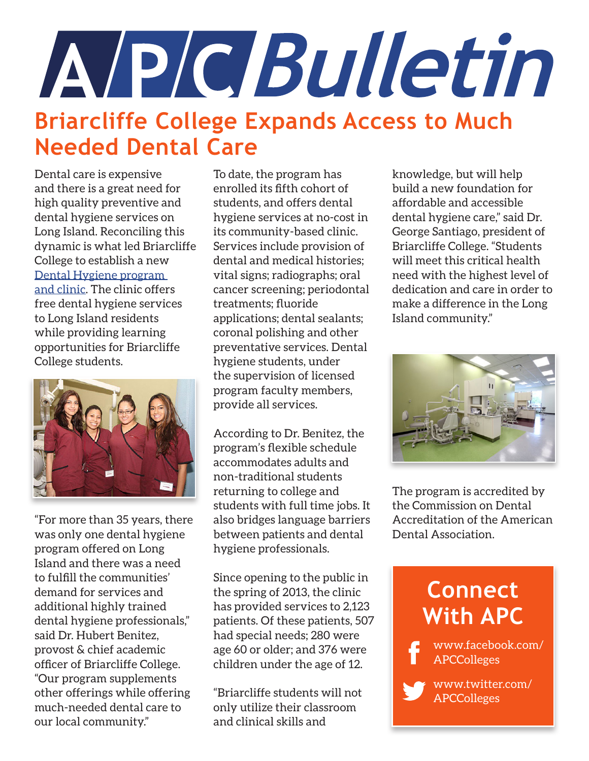# A/P/C/Bulletin **Briarcliffe College Expands Access to Much Needed Dental Care**

Dental care is expensive and there is a great need for high quality preventive and dental hygiene services on Long Island. Reconciling this dynamic is what led Briarcliffe College to establish a new [Dental Hygiene program](http://www.briarcliffe.edu/Degree-Programs/Dental%20Hygiene)  [and clinic](http://www.briarcliffe.edu/Degree-Programs/Dental%20Hygiene). The clinic offers free dental hygiene services to Long Island residents while providing learning opportunities for Briarcliffe College students.



"For more than 35 years, there was only one dental hygiene program offered on Long Island and there was a need to fulfill the communities' demand for services and additional highly trained dental hygiene professionals," said Dr. Hubert Benitez, provost & chief academic officer of Briarcliffe College. "Our program supplements other offerings while offering much-needed dental care to our local community."

To date, the program has enrolled its fifth cohort of students, and offers dental hygiene services at no-cost in its community-based clinic. Services include provision of dental and medical histories; vital signs; radiographs; oral cancer screening; periodontal treatments; fluoride applications; dental sealants; coronal polishing and other preventative services. Dental hygiene students, under the supervision of licensed program faculty members, provide all services.

According to Dr. Benitez, the program's flexible schedule accommodates adults and non-traditional students returning to college and students with full time jobs. It also bridges language barriers between patients and dental hygiene professionals.

Since opening to the public in the spring of 2013, the clinic has provided services to 2,123 patients. Of these patients, 507 had special needs; 280 were age 60 or older; and 376 were children under the age of 12.

"Briarcliffe students will not only utilize their classroom and clinical skills and

knowledge, but will help build a new foundation for affordable and accessible dental hygiene care," said Dr. George Santiago, president of Briarcliffe College. "Students will meet this critical health need with the highest level of dedication and care in order to make a difference in the Long Island community."



The program is accredited by the Commission on Dental Accreditation of the American Dental Association.

### **Connect With APC**

www.facebook.com/ APCColleges

> www.twitter.com/ APCColleges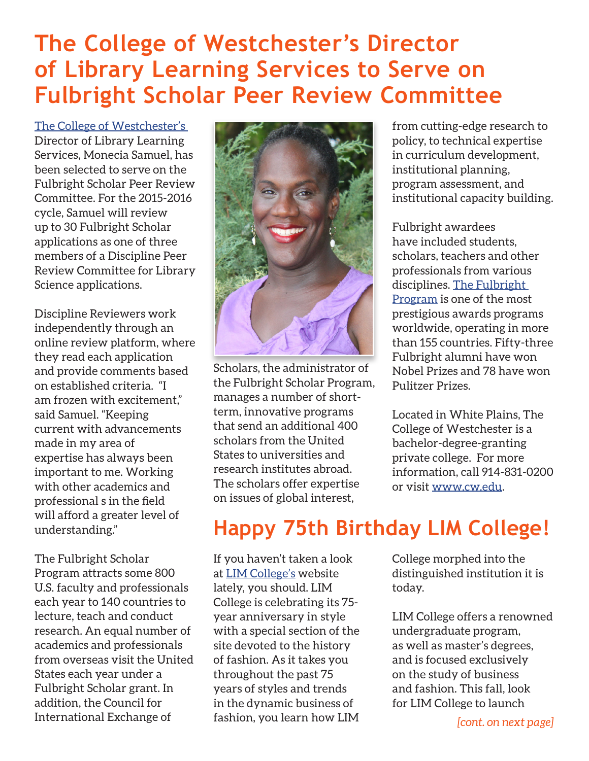### **The College of Westchester's Director of Library Learning Services to Serve on Fulbright Scholar Peer Review Committee**

[The College of Westchester's](http://www.cw.edu) Director of Library Learning Services, Monecia Samuel, has been selected to serve on the Fulbright Scholar Peer Review Committee. For the 2015-2016 cycle, Samuel will review up to 30 Fulbright Scholar applications as one of three members of a Discipline Peer Review Committee for Library Science applications.

Discipline Reviewers work independently through an online review platform, where they read each application and provide comments based on established criteria. "I am frozen with excitement," said Samuel. "Keeping current with advancements made in my area of expertise has always been important to me. Working with other academics and professional s in the field will afford a greater level of understanding."

The Fulbright Scholar Program attracts some 800 U.S. faculty and professionals each year to 140 countries to lecture, teach and conduct research. An equal number of academics and professionals from overseas visit the United States each year under a Fulbright Scholar grant. In addition, the Council for International Exchange of



Scholars, the administrator of the Fulbright Scholar Program, manages a number of shortterm, innovative programs that send an additional 400 scholars from the United States to universities and research institutes abroad. The scholars offer expertise on issues of global interest,

from cutting-edge research to policy, to technical expertise in curriculum development, institutional planning, program assessment, and institutional capacity building.

Fulbright awardees have included students, scholars, teachers and other professionals from various disciplines. [The Fulbright](http://www.cies.org/)  [Program](http://www.cies.org/) is one of the most prestigious awards programs worldwide, operating in more than 155 countries. Fifty-three Fulbright alumni have won Nobel Prizes and 78 have won Pulitzer Prizes.

Located in White Plains, The College of Westchester is a bachelor-degree-granting private college. For more information, call 914-831-0200 or visit<www.cw.edu>.

## **Happy 75th Birthday LIM College!**

If you haven't taken a look at [LIM College's](http://limcollege75.com/) website lately, you should. LIM College is celebrating its 75 year anniversary in style with a special section of the site devoted to the history of fashion. As it takes you throughout the past 75 years of styles and trends in the dynamic business of fashion, you learn how LIM

College morphed into the distinguished institution it is today.

LIM College offers a renowned undergraduate program, as well as master's degrees, and is focused exclusively on the study of business and fashion. This fall, look for LIM College to launch